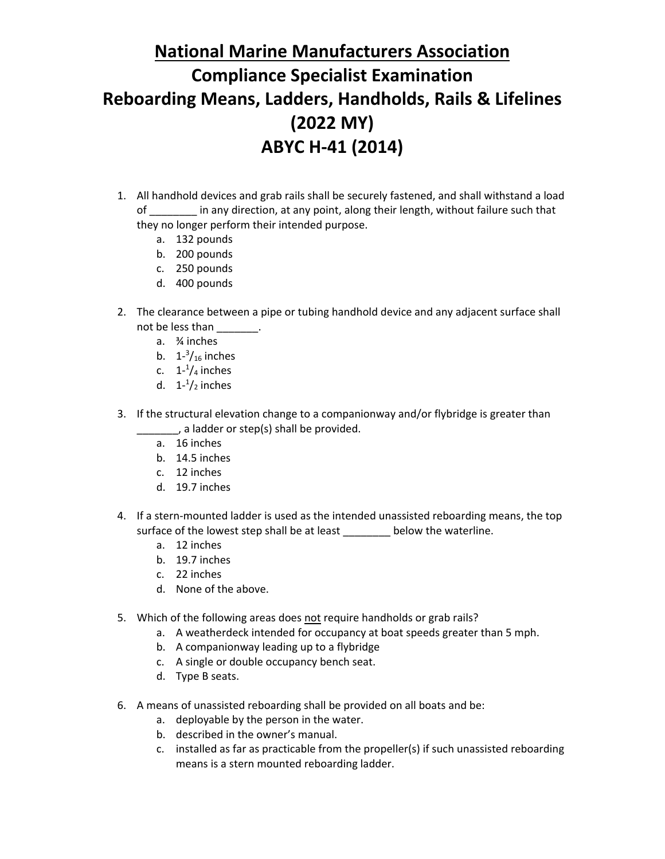## **National Marine Manufacturers Association Compliance Specialist Examination Reboarding Means, Ladders, Handholds, Rails & Lifelines (2022 MY) ABYC H-41 (2014)**

- 1. All handhold devices and grab rails shall be securely fastened, and shall withstand a load of \_\_\_\_\_\_\_\_ in any direction, at any point, along their length, without failure such that they no longer perform their intended purpose.
	- a. 132 pounds
	- b. 200 pounds
	- c. 250 pounds
	- d. 400 pounds
- 2. The clearance between a pipe or tubing handhold device and any adjacent surface shall not be less than \_\_\_\_\_\_\_.
	- a. ¾ inches
	- b.  $1^{-3}/_{16}$  inches
	- c.  $1^{-1}/_4$  inches
	- d.  $1-1/2$  inches
- 3. If the structural elevation change to a companionway and/or flybridge is greater than \_\_\_\_\_, a ladder or step(s) shall be provided.
	- a. 16 inches
	- b. 14.5 inches
	- c. 12 inches
	- d. 19.7 inches
- 4. If a stern-mounted ladder is used as the intended unassisted reboarding means, the top surface of the lowest step shall be at least \_\_\_\_\_\_\_\_ below the waterline.
	- a. 12 inches
	- b. 19.7 inches
	- c. 22 inches
	- d. None of the above.
- 5. Which of the following areas does not require handholds or grab rails?
	- a. A weatherdeck intended for occupancy at boat speeds greater than 5 mph.
	- b. A companionway leading up to a flybridge
	- c. A single or double occupancy bench seat.
	- d. Type B seats.
- 6. A means of unassisted reboarding shall be provided on all boats and be:
	- a. deployable by the person in the water.
	- b. described in the owner's manual.
	- c. installed as far as practicable from the propeller(s) if such unassisted reboarding means is a stern mounted reboarding ladder.